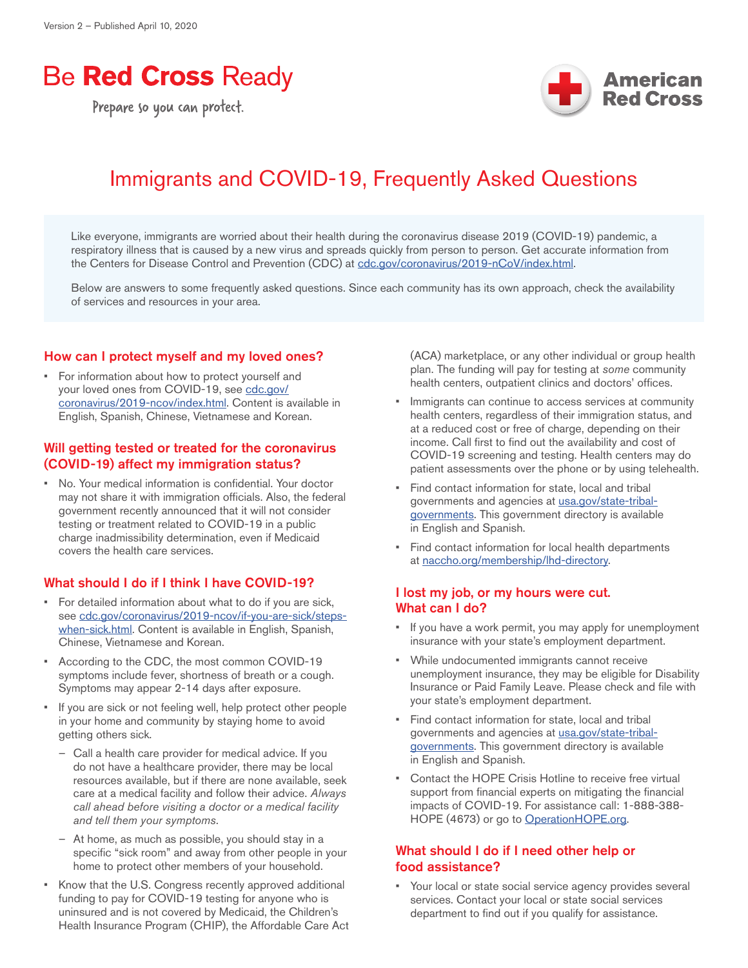# **Be Red Cross Ready**

Prepare so you can protect.



# Immigrants and COVID-19, Frequently Asked Questions

Like everyone, immigrants are worried about their health during the coronavirus disease 2019 (COVID-19) pandemic, a respiratory illness that is caused by a new virus and spreads quickly from person to person. Get accurate information from the Centers for Disease Control and Prevention (CDC) at [cdc.gov/coronavirus/2019-nCoV/index.html](http://www.cdc.gov/coronavirus/2019-nCoV/index.html).

Below are answers to some frequently asked questions. Since each community has its own approach, check the availability of services and resources in your area.

#### How can I protect myself and my loved ones?

• For information about how to protect yourself and your loved ones from COVID-19, see [cdc.gov/](http://www.cdc.gov/coronavirus/2019-ncov/index.html) [coronavirus/2019-ncov/index.html](http://www.cdc.gov/coronavirus/2019-ncov/index.html). Content is available in English, Spanish, Chinese, Vietnamese and Korean.

#### Will getting tested or treated for the coronavirus (COVID-19) affect my immigration status?

• No. Your medical information is confidential. Your doctor may not share it with immigration officials. Also, the federal government recently announced that it will not consider testing or treatment related to COVID-19 in a public charge inadmissibility determination, even if Medicaid covers the health care services.

#### What should I do if I think I have COVID-19?

- For detailed information about what to do if you are sick, see [cdc.gov/coronavirus/2019-ncov/if-you-are-sick/steps](http://www.cdc.gov/coronavirus/2019-ncov/if-you-are-sick/steps-when-sick.html)[when-sick.html](http://www.cdc.gov/coronavirus/2019-ncov/if-you-are-sick/steps-when-sick.html). Content is available in English, Spanish, Chinese, Vietnamese and Korean.
- According to the CDC, the most common COVID-19 symptoms include fever, shortness of breath or a cough. Symptoms may appear 2-14 days after exposure.
- If you are sick or not feeling well, help protect other people in your home and community by staying home to avoid getting others sick.
	- Call a health care provider for medical advice. If you do not have a healthcare provider, there may be local resources available, but if there are none available, seek care at a medical facility and follow their advice. *Always call ahead before visiting a doctor or a medical facility and tell them your symptoms*.
	- At home, as much as possible, you should stay in a specific "sick room" and away from other people in your home to protect other members of your household.
- Know that the U.S. Congress recently approved additional funding to pay for COVID-19 testing for anyone who is uninsured and is not covered by Medicaid, the Children's Health Insurance Program (CHIP), the Affordable Care Act

(ACA) marketplace, or any other individual or group health plan. The funding will pay for testing at *some* community health centers, outpatient clinics and doctors' offices.

- Immigrants can continue to access services at community health centers, regardless of their immigration status, and at a reduced cost or free of charge, depending on their income. Call first to find out the availability and cost of COVID-19 screening and testing. Health centers may do patient assessments over the phone or by using telehealth.
- Find contact information for state, local and tribal governments and agencies at [usa.gov/state-tribal](http://www.usa.gov/state-tribal-governments)[governments](http://www.usa.gov/state-tribal-governments). This government directory is available in English and Spanish.
- Find contact information for local health departments at [naccho.org/membership/lhd-directory.](http://www.naccho.org/membership/lhd-directory)

### I lost my job, or my hours were cut. What can I do?

- If you have a work permit, you may apply for unemployment insurance with your state's employment department.
- While undocumented immigrants cannot receive unemployment insurance, they may be eligible for Disability Insurance or Paid Family Leave. Please check and file with your state's employment department.
- Find contact information for state, local and tribal governments and agencies at [usa.gov/state-tribal](http://www.usa.gov/state-tribal-governments)[governments](http://www.usa.gov/state-tribal-governments). This government directory is available in English and Spanish.
- Contact the HOPE Crisis Hotline to receive free virtual support from financial experts on mitigating the financial impacts of COVID-19. For assistance call: 1-888-388- HOPE (4673) or go to [OperationHOPE.org](https://operationhope.org/).

### What should I do if I need other help or food assistance?

• Your local or state social service agency provides several services. Contact your local or state social services department to find out if you qualify for assistance.